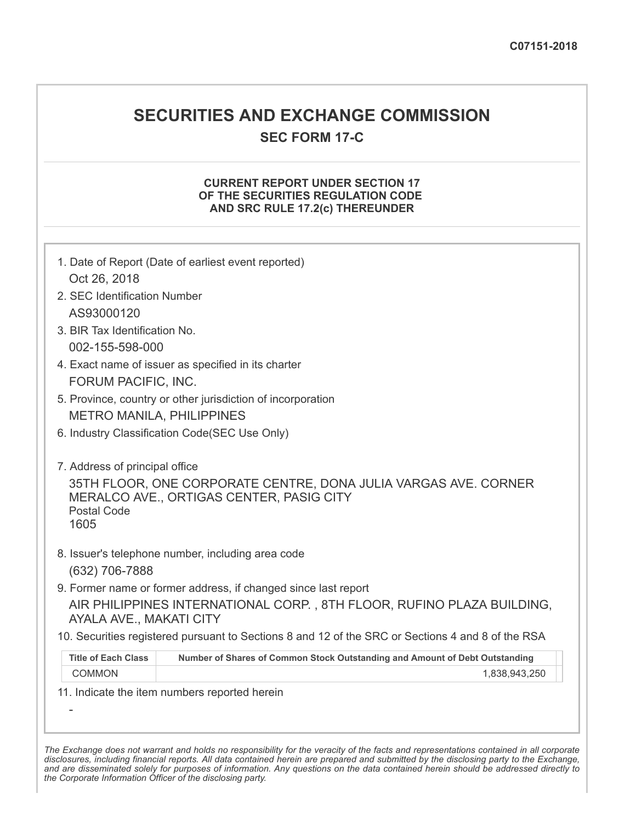## **SECURITIES AND EXCHANGE COMMISSION**

**SEC FORM 17-C**

## **CURRENT REPORT UNDER SECTION 17 OF THE SECURITIES REGULATION CODE AND SRC RULE 17.2(c) THEREUNDER**

| 1. Date of Report (Date of earliest event reported)                                               |                                                                                              |  |  |
|---------------------------------------------------------------------------------------------------|----------------------------------------------------------------------------------------------|--|--|
| Oct 26, 2018                                                                                      |                                                                                              |  |  |
| 2. SEC Identification Number                                                                      |                                                                                              |  |  |
| AS93000120                                                                                        |                                                                                              |  |  |
| 3. BIR Tax Identification No.                                                                     |                                                                                              |  |  |
| 002-155-598-000                                                                                   |                                                                                              |  |  |
| 4. Exact name of issuer as specified in its charter                                               |                                                                                              |  |  |
| FORUM PACIFIC, INC.                                                                               |                                                                                              |  |  |
| 5. Province, country or other jurisdiction of incorporation                                       |                                                                                              |  |  |
| <b>METRO MANILA, PHILIPPINES</b>                                                                  |                                                                                              |  |  |
| 6. Industry Classification Code(SEC Use Only)                                                     |                                                                                              |  |  |
|                                                                                                   |                                                                                              |  |  |
| 7. Address of principal office                                                                    |                                                                                              |  |  |
| 35TH FLOOR, ONE CORPORATE CENTRE, DONA JULIA VARGAS AVE. CORNER                                   |                                                                                              |  |  |
|                                                                                                   | MERALCO AVE., ORTIGAS CENTER, PASIG CITY                                                     |  |  |
| <b>Postal Code</b>                                                                                |                                                                                              |  |  |
| 1605                                                                                              |                                                                                              |  |  |
|                                                                                                   | 8. Issuer's telephone number, including area code                                            |  |  |
| (632) 706-7888                                                                                    |                                                                                              |  |  |
| 9. Former name or former address, if changed since last report                                    |                                                                                              |  |  |
| AIR PHILIPPINES INTERNATIONAL CORP., 8TH FLOOR, RUFINO PLAZA BUILDING,                            |                                                                                              |  |  |
| AYALA AVE., MAKATI CITY                                                                           |                                                                                              |  |  |
| 10. Securities registered pursuant to Sections 8 and 12 of the SRC or Sections 4 and 8 of the RSA |                                                                                              |  |  |
| <b>Title of Each Class</b>                                                                        |                                                                                              |  |  |
| <b>COMMON</b>                                                                                     | Number of Shares of Common Stock Outstanding and Amount of Debt Outstanding<br>1,838,943,250 |  |  |
|                                                                                                   |                                                                                              |  |  |
| 11. Indicate the item numbers reported herein                                                     |                                                                                              |  |  |

The Exchange does not warrant and holds no responsibility for the veracity of the facts and representations contained in all corporate disclosures, including financial reports. All data contained herein are prepared and submitted by the disclosing party to the Exchange, and are disseminated solely for purposes of information. Any questions on the data contained herein should be addressed directly to *the Corporate Information Officer of the disclosing party.*

-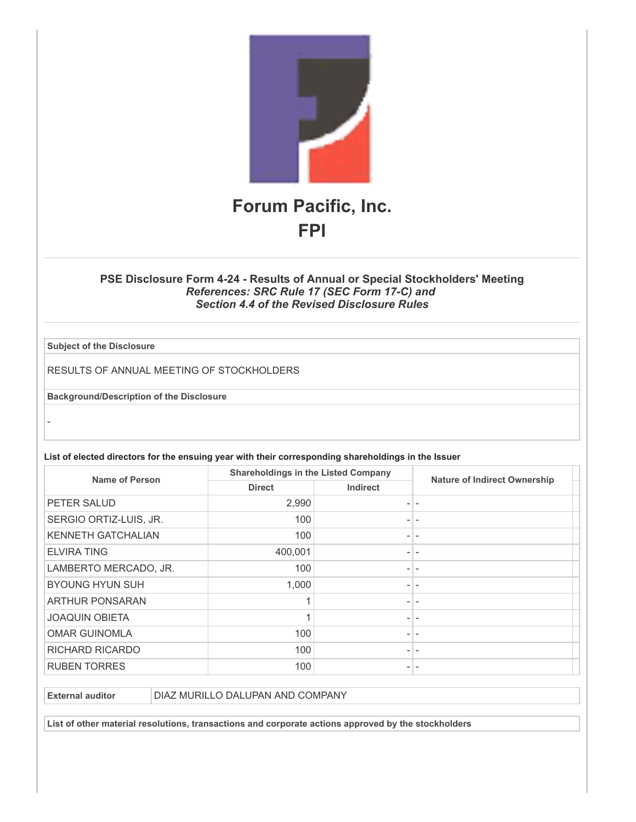

## **PSE Disclosure Form 4-24 - Results of Annual or Special Stockholders' Meeting** *References: SRC Rule 17 (SEC Form 17-C) and Section 4.4 of the Revised Disclosure Rules*

**Subject of the Disclosure**

-

RESULTS OF ANNUAL MEETING OF STOCKHOLDERS

**Background/Description of the Disclosure**

**List of elected directors for the ensuing year with their corresponding shareholdings in the Issuer**

| Name of Person            | <b>Shareholdings in the Listed Company</b> |                          |                                     |
|---------------------------|--------------------------------------------|--------------------------|-------------------------------------|
|                           | <b>Direct</b>                              | <b>Indirect</b>          | <b>Nature of Indirect Ownership</b> |
| PETER SALUD               | 2,990                                      | $\overline{\phantom{a}}$ |                                     |
| SERGIO ORTIZ-LUIS, JR.    | 100                                        | $\overline{\phantom{a}}$ |                                     |
| <b>KENNETH GATCHALIAN</b> | 100                                        | $\overline{\phantom{a}}$ |                                     |
| <b>ELVIRA TING</b>        | 400,001                                    |                          |                                     |
| LAMBERTO MERCADO, JR.     | 100                                        | $\overline{\phantom{a}}$ |                                     |
| <b>BYOUNG HYUN SUH</b>    | 1,000                                      | $\overline{\phantom{0}}$ |                                     |
| <b>ARTHUR PONSARAN</b>    |                                            | $\overline{\phantom{0}}$ |                                     |
| <b>JOAQUIN OBIETA</b>     |                                            | $\overline{\phantom{0}}$ |                                     |
| <b>OMAR GUINOMLA</b>      | 100                                        | $\overline{\phantom{a}}$ |                                     |
| <b>RICHARD RICARDO</b>    | 100                                        | $\overline{\phantom{a}}$ |                                     |
| <b>RUBEN TORRES</b>       | 100                                        | $\overline{\phantom{0}}$ |                                     |

**External auditor DIAZ MURILLO DALUPAN AND COMPANY** 

**List of other material resolutions, transactions and corporate actions approved by the stockholders**